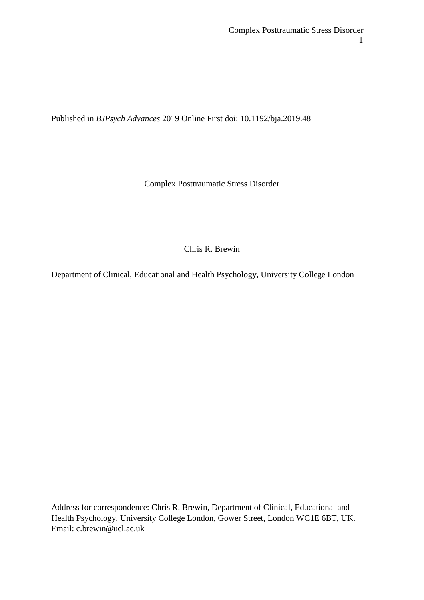Published in *BJPsych Advances* 2019 Online First doi: 10.1192/bja.2019.48

Complex Posttraumatic Stress Disorder

Chris R. Brewin

Department of Clinical, Educational and Health Psychology, University College London

Address for correspondence: Chris R. Brewin, Department of Clinical, Educational and Health Psychology, University College London, Gower Street, London WC1E 6BT, UK. Email: c.brewin@ucl.ac.uk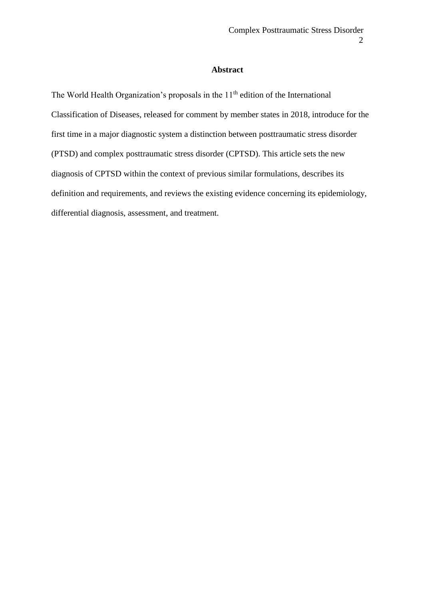# **Abstract**

The World Health Organization's proposals in the  $11<sup>th</sup>$  edition of the International Classification of Diseases, released for comment by member states in 2018, introduce for the first time in a major diagnostic system a distinction between posttraumatic stress disorder (PTSD) and complex posttraumatic stress disorder (CPTSD). This article sets the new diagnosis of CPTSD within the context of previous similar formulations, describes its definition and requirements, and reviews the existing evidence concerning its epidemiology, differential diagnosis, assessment, and treatment.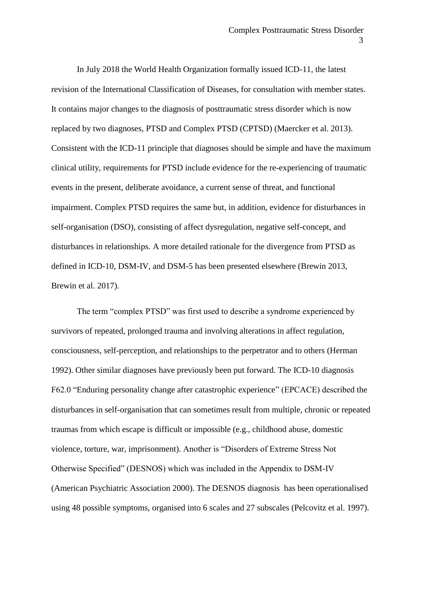In July 2018 the World Health Organization formally issued ICD-11, the latest revision of the International Classification of Diseases, for consultation with member states. It contains major changes to the diagnosis of posttraumatic stress disorder which is now replaced by two diagnoses, PTSD and Complex PTSD (CPTSD) [\(Maercker et](#page-18-0) al. 2013). Consistent with the ICD-11 principle that diagnoses should be simple and have the maximum clinical utility, requirements for PTSD include evidence for the re-experiencing of traumatic events in the present, deliberate avoidance, a current sense of threat, and functional impairment. Complex PTSD requires the same but, in addition, evidence for disturbances in self-organisation (DSO), consisting of affect dysregulation, negative self-concept, and disturbances in relationships. A more detailed rationale for the divergence from PTSD as defined in ICD-10, DSM-IV, and DSM-5 has been presented elsewhere [\(Brewin 2013,](#page-15-0) [Brewin et al. 2017\)](#page-15-1).

The term "complex PTSD" was first used to describe a syndrome experienced by survivors of repeated, prolonged trauma and involving alterations in affect regulation, consciousness, self-perception, and relationships to the perpetrator and to others [\(Herman](#page-17-0)  [1992\)](#page-17-0). Other similar diagnoses have previously been put forward. The ICD-10 diagnosis F62.0 "Enduring personality change after catastrophic experience" (EPCACE) described the disturbances in self-organisation that can sometimes result from multiple, chronic or repeated traumas from which escape is difficult or impossible (e.g., childhood abuse, domestic violence, torture, war, imprisonment). Another is "Disorders of Extreme Stress Not Otherwise Specified" (DESNOS) which was included in the Appendix to DSM-IV [\(American Psychiatric Association 2000\)](#page-15-2). The DESNOS diagnosis has been operationalised using 48 possible symptoms, organised into 6 scales and 27 subscales [\(Pelcovitz et al. 1997\)](#page-19-0).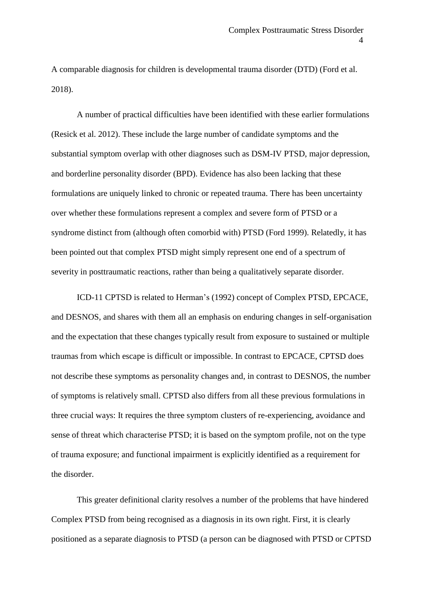A comparable diagnosis for children is developmental trauma disorder (DTD) [\(Ford et al.](#page-17-1)  [2018\)](#page-17-1).

A number of practical difficulties have been identified with these earlier formulations [\(Resick et al. 2012\)](#page-19-1). These include the large number of candidate symptoms and the substantial symptom overlap with other diagnoses such as DSM-IV PTSD, major depression, and borderline personality disorder (BPD). Evidence has also been lacking that these formulations are uniquely linked to chronic or repeated trauma. There has been uncertainty over whether these formulations represent a complex and severe form of PTSD or a syndrome distinct from (although often comorbid with) PTSD [\(Ford 1999\)](#page-17-2). Relatedly, it has been pointed out that complex PTSD might simply represent one end of a spectrum of severity in posttraumatic reactions, rather than being a qualitatively separate disorder.

ICD-11 CPTSD is related to Herman's (1992) concept of Complex PTSD, EPCACE, and DESNOS, and shares with them all an emphasis on enduring changes in self-organisation and the expectation that these changes typically result from exposure to sustained or multiple traumas from which escape is difficult or impossible. In contrast to EPCACE, CPTSD does not describe these symptoms as personality changes and, in contrast to DESNOS, the number of symptoms is relatively small. CPTSD also differs from all these previous formulations in three crucial ways: It requires the three symptom clusters of re-experiencing, avoidance and sense of threat which characterise PTSD; it is based on the symptom profile, not on the type of trauma exposure; and functional impairment is explicitly identified as a requirement for the disorder.

This greater definitional clarity resolves a number of the problems that have hindered Complex PTSD from being recognised as a diagnosis in its own right. First, it is clearly positioned as a separate diagnosis to PTSD (a person can be diagnosed with PTSD or CPTSD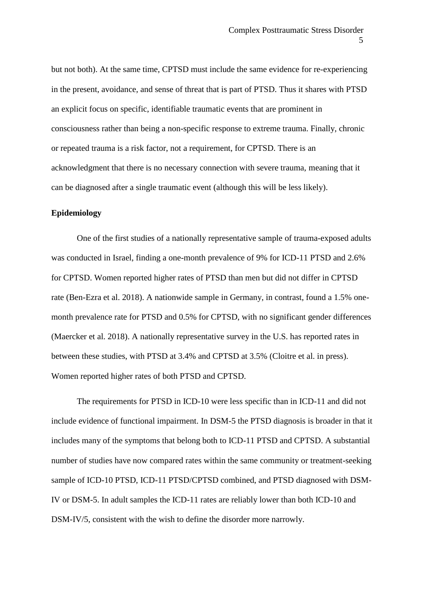but not both). At the same time, CPTSD must include the same evidence for re-experiencing in the present, avoidance, and sense of threat that is part of PTSD. Thus it shares with PTSD an explicit focus on specific, identifiable traumatic events that are prominent in consciousness rather than being a non-specific response to extreme trauma. Finally, chronic or repeated trauma is a risk factor, not a requirement, for CPTSD. There is an acknowledgment that there is no necessary connection with severe trauma, meaning that it can be diagnosed after a single traumatic event (although this will be less likely).

#### **Epidemiology**

One of the first studies of a nationally representative sample of trauma-exposed adults was conducted in Israel, finding a one-month prevalence of 9% for ICD-11 PTSD and 2.6% for CPTSD. Women reported higher rates of PTSD than men but did not differ in CPTSD rate [\(Ben-Ezra et al. 2018\)](#page-15-3). A nationwide sample in Germany, in contrast, found a 1.5% onemonth prevalence rate for PTSD and 0.5% for CPTSD, with no significant gender differences [\(Maercker et al. 2018\)](#page-18-1). A nationally representative survey in the U.S. has reported rates in between these studies, with PTSD at 3.4% and CPTSD at 3.5% [\(Cloitre et al. in press\)](#page-16-0). Women reported higher rates of both PTSD and CPTSD.

The requirements for PTSD in ICD-10 were less specific than in ICD-11 and did not include evidence of functional impairment. In DSM-5 the PTSD diagnosis is broader in that it includes many of the symptoms that belong both to ICD-11 PTSD and CPTSD. A substantial number of studies have now compared rates within the same community or treatment-seeking sample of ICD-10 PTSD, ICD-11 PTSD/CPTSD combined, and PTSD diagnosed with DSM-IV or DSM-5. In adult samples the ICD-11 rates are reliably lower than both ICD-10 and DSM-IV/5, consistent with the wish to define the disorder more narrowly.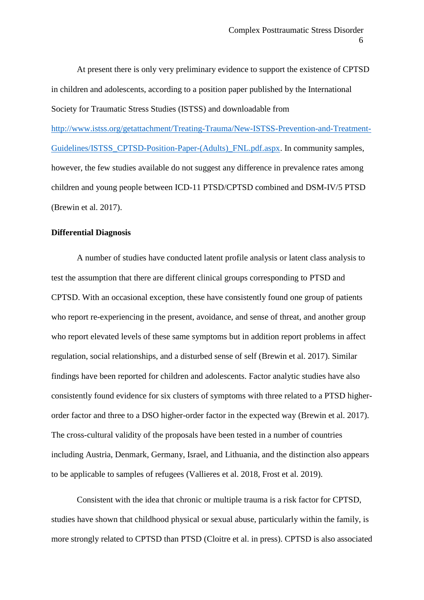At present there is only very preliminary evidence to support the existence of CPTSD in children and adolescents, according to a position paper published by the International Society for Traumatic Stress Studies (ISTSS) and downloadable from [http://www.istss.org/getattachment/Treating-Trauma/New-ISTSS-Prevention-and-Treatment-](http://www.istss.org/getattachment/Treating-Trauma/New-ISTSS-Prevention-and-Treatment-Guidelines/ISTSS_CPTSD-Position-Paper-(Adults)_FNL.pdf.aspx)[Guidelines/ISTSS\\_CPTSD-Position-Paper-\(Adults\)\\_FNL.pdf.aspx.](http://www.istss.org/getattachment/Treating-Trauma/New-ISTSS-Prevention-and-Treatment-Guidelines/ISTSS_CPTSD-Position-Paper-(Adults)_FNL.pdf.aspx) In community samples, however, the few studies available do not suggest any difference in prevalence rates among children and young people between ICD-11 PTSD/CPTSD combined and DSM-IV/5 PTSD [\(Brewin et al. 2017\)](#page-15-1).

# **Differential Diagnosis**

A number of studies have conducted latent profile analysis or latent class analysis to test the assumption that there are different clinical groups corresponding to PTSD and CPTSD. With an occasional exception, these have consistently found one group of patients who report re-experiencing in the present, avoidance, and sense of threat, and another group who report elevated levels of these same symptoms but in addition report problems in affect regulation, social relationships, and a disturbed sense of self [\(Brewin et al. 2017\)](#page-15-1). Similar findings have been reported for children and adolescents. Factor analytic studies have also consistently found evidence for six clusters of symptoms with three related to a PTSD higherorder factor and three to a DSO higher-order factor in the expected way [\(Brewin et al. 2017\)](#page-15-1). The cross-cultural validity of the proposals have been tested in a number of countries including Austria, Denmark, Germany, Israel, and Lithuania, and the distinction also appears to be applicable to samples of refugees [\(Vallieres et al. 2018,](#page-19-2) [Frost et al. 2019\)](#page-17-3).

Consistent with the idea that chronic or multiple trauma is a risk factor for CPTSD, studies have shown that childhood physical or sexual abuse, particularly within the family, is more strongly related to CPTSD than PTSD [\(Cloitre et al. in press\)](#page-16-0). CPTSD is also associated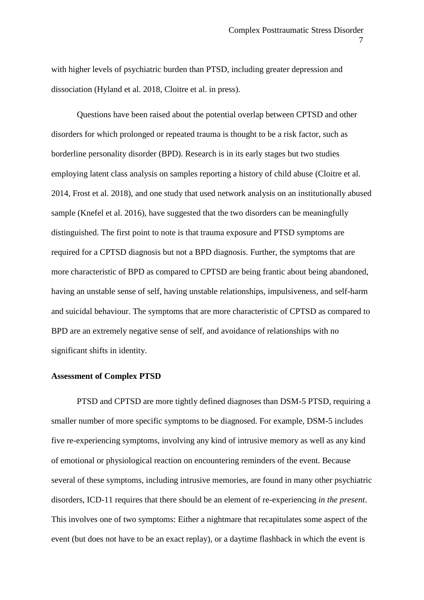with higher levels of psychiatric burden than PTSD, including greater depression and dissociation [\(Hyland et al. 2018,](#page-17-4) [Cloitre et al. in press\)](#page-16-0).

Questions have been raised about the potential overlap between CPTSD and other disorders for which prolonged or repeated trauma is thought to be a risk factor, such as borderline personality disorder (BPD). Research is in its early stages but two studies employing latent class analysis on samples reporting a history of child abuse [\(Cloitre et al.](#page-16-1)  [2014,](#page-16-1) [Frost et al. 2018\)](#page-17-5), and one study that used network analysis on an institutionally abused sample [\(Knefel et al. 2016\)](#page-18-2), have suggested that the two disorders can be meaningfully distinguished. The first point to note is that trauma exposure and PTSD symptoms are required for a CPTSD diagnosis but not a BPD diagnosis. Further, the symptoms that are more characteristic of BPD as compared to CPTSD are being frantic about being abandoned, having an unstable sense of self, having unstable relationships, impulsiveness, and self-harm and suicidal behaviour. The symptoms that are more characteristic of CPTSD as compared to BPD are an extremely negative sense of self, and avoidance of relationships with no significant shifts in identity.

#### **Assessment of Complex PTSD**

PTSD and CPTSD are more tightly defined diagnoses than DSM-5 PTSD, requiring a smaller number of more specific symptoms to be diagnosed. For example, DSM-5 includes five re-experiencing symptoms, involving any kind of intrusive memory as well as any kind of emotional or physiological reaction on encountering reminders of the event. Because several of these symptoms, including intrusive memories, are found in many other psychiatric disorders, ICD-11 requires that there should be an element of re-experiencing *in the present*. This involves one of two symptoms: Either a nightmare that recapitulates some aspect of the event (but does not have to be an exact replay), or a daytime flashback in which the event is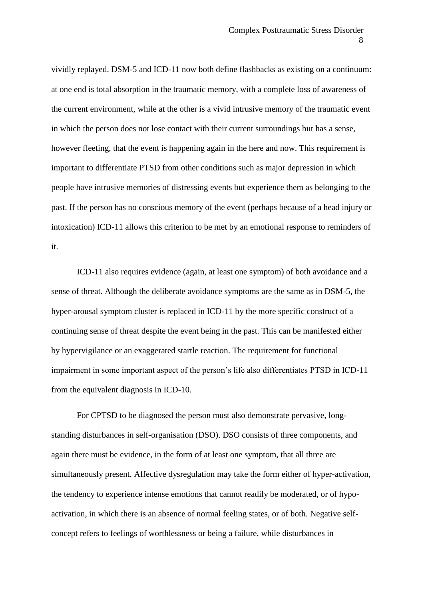vividly replayed. DSM-5 and ICD-11 now both define flashbacks as existing on a continuum: at one end is total absorption in the traumatic memory, with a complete loss of awareness of the current environment, while at the other is a vivid intrusive memory of the traumatic event in which the person does not lose contact with their current surroundings but has a sense, however fleeting, that the event is happening again in the here and now. This requirement is important to differentiate PTSD from other conditions such as major depression in which people have intrusive memories of distressing events but experience them as belonging to the past. If the person has no conscious memory of the event (perhaps because of a head injury or intoxication) ICD-11 allows this criterion to be met by an emotional response to reminders of it.

ICD-11 also requires evidence (again, at least one symptom) of both avoidance and a sense of threat. Although the deliberate avoidance symptoms are the same as in DSM-5, the hyper-arousal symptom cluster is replaced in ICD-11 by the more specific construct of a continuing sense of threat despite the event being in the past. This can be manifested either by hypervigilance or an exaggerated startle reaction. The requirement for functional impairment in some important aspect of the person's life also differentiates PTSD in ICD-11 from the equivalent diagnosis in ICD-10.

For CPTSD to be diagnosed the person must also demonstrate pervasive, longstanding disturbances in self-organisation (DSO). DSO consists of three components, and again there must be evidence, in the form of at least one symptom, that all three are simultaneously present. Affective dysregulation may take the form either of hyper-activation, the tendency to experience intense emotions that cannot readily be moderated, or of hypoactivation, in which there is an absence of normal feeling states, or of both. Negative selfconcept refers to feelings of worthlessness or being a failure, while disturbances in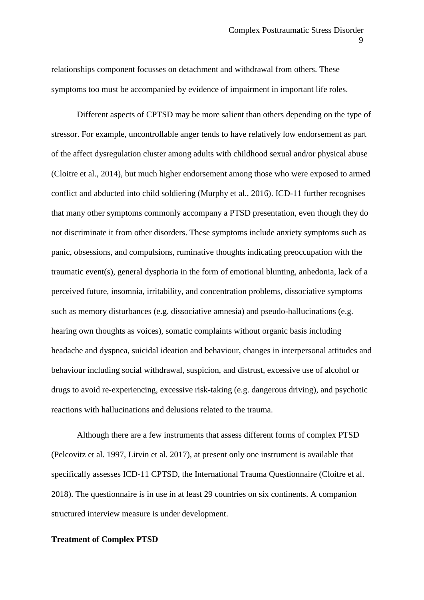relationships component focusses on detachment and withdrawal from others. These symptoms too must be accompanied by evidence of impairment in important life roles.

Different aspects of CPTSD may be more salient than others depending on the type of stressor. For example, uncontrollable anger tends to have relatively low endorsement as part of the affect dysregulation cluster among adults with childhood sexual and/or physical abuse (Cloitre et al., 2014), but much higher endorsement among those who were exposed to armed conflict and abducted into child soldiering (Murphy et al., 2016). ICD-11 further recognises that many other symptoms commonly accompany a PTSD presentation, even though they do not discriminate it from other disorders. These symptoms include anxiety symptoms such as panic, obsessions, and compulsions, ruminative thoughts indicating preoccupation with the traumatic event(s), general dysphoria in the form of emotional blunting, anhedonia, lack of a perceived future, insomnia, irritability, and concentration problems, dissociative symptoms such as memory disturbances (e.g. dissociative amnesia) and pseudo-hallucinations (e.g. hearing own thoughts as voices), somatic complaints without organic basis including headache and dyspnea, suicidal ideation and behaviour, changes in interpersonal attitudes and behaviour including social withdrawal, suspicion, and distrust, excessive use of alcohol or drugs to avoid re-experiencing, excessive risk-taking (e.g. dangerous driving), and psychotic reactions with hallucinations and delusions related to the trauma.

Although there are a few instruments that assess different forms of complex PTSD [\(Pelcovitz et al. 1997,](#page-19-0) [Litvin et al. 2017\)](#page-18-3), at present only one instrument is available that specifically assesses ICD-11 CPTSD, the International Trauma Questionnaire [\(Cloitre et al.](#page-16-2)  [2018\)](#page-16-2). The questionnaire is in use in at least 29 countries on six continents. A companion structured interview measure is under development.

#### **Treatment of Complex PTSD**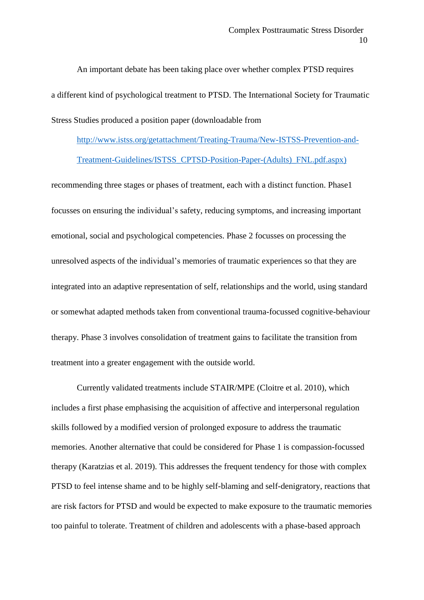An important debate has been taking place over whether complex PTSD requires a different kind of psychological treatment to PTSD. The International Society for Traumatic Stress Studies produced a position paper (downloadable from

[http://www.istss.org/getattachment/Treating-Trauma/New-ISTSS-Prevention-and-](http://www.istss.org/getattachment/Treating-Trauma/New-ISTSS-Prevention-and-Treatment-Guidelines/ISTSS_CPTSD-Position-Paper-(Adults)_FNL.pdf.aspx))[Treatment-Guidelines/ISTSS\\_CPTSD-Position-Paper-\(Adults\)\\_FNL.pdf.aspx\)](http://www.istss.org/getattachment/Treating-Trauma/New-ISTSS-Prevention-and-Treatment-Guidelines/ISTSS_CPTSD-Position-Paper-(Adults)_FNL.pdf.aspx))

recommending three stages or phases of treatment, each with a distinct function. Phase1 focusses on ensuring the individual's safety, reducing symptoms, and increasing important emotional, social and psychological competencies. Phase 2 focusses on processing the unresolved aspects of the individual's memories of traumatic experiences so that they are integrated into an adaptive representation of self, relationships and the world, using standard or somewhat adapted methods taken from conventional trauma-focussed cognitive-behaviour therapy. Phase 3 involves consolidation of treatment gains to facilitate the transition from treatment into a greater engagement with the outside world.

Currently validated treatments include STAIR/MPE [\(Cloitre et al. 2010\)](#page-16-3), which includes a first phase emphasising the acquisition of affective and interpersonal regulation skills followed by a modified version of prolonged exposure to address the traumatic memories. Another alternative that could be considered for Phase 1 is compassion-focussed therapy [\(Karatzias et al. 2019\)](#page-17-6). This addresses the frequent tendency for those with complex PTSD to feel intense shame and to be highly self-blaming and self-denigratory, reactions that are risk factors for PTSD and would be expected to make exposure to the traumatic memories too painful to tolerate. Treatment of children and adolescents with a phase-based approach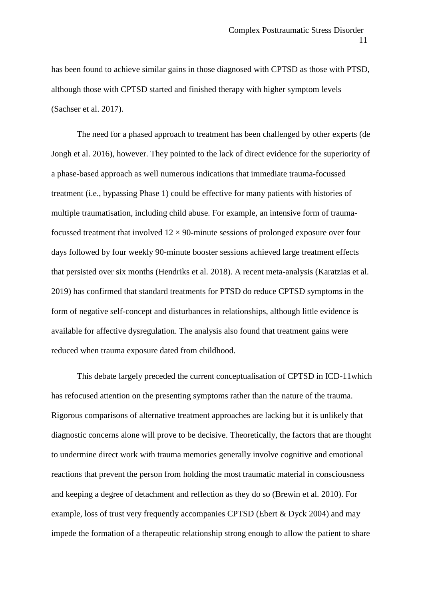has been found to achieve similar gains in those diagnosed with CPTSD as those with PTSD, although those with CPTSD started and finished therapy with higher symptom levels [\(Sachser et al. 2017\)](#page-19-3).

The need for a phased approach to treatment has been challenged by other experts [\(de](#page-16-4)  [Jongh et al. 2016\)](#page-16-4), however. They pointed to the lack of direct evidence for the superiority of a phase-based approach as well numerous indications that immediate trauma-focussed treatment (i.e., bypassing Phase 1) could be effective for many patients with histories of multiple traumatisation, including child abuse. For example, an intensive form of traumafocussed treatment that involved  $12 \times 90$ -minute sessions of prolonged exposure over four days followed by four weekly 90-minute booster sessions achieved large treatment effects that persisted over six months [\(Hendriks et al. 2018\)](#page-17-7). A recent meta-analysis [\(Karatzias et al.](#page-18-4)  [2019\)](#page-18-4) has confirmed that standard treatments for PTSD do reduce CPTSD symptoms in the form of negative self-concept and disturbances in relationships, although little evidence is available for affective dysregulation. The analysis also found that treatment gains were reduced when trauma exposure dated from childhood.

This debate largely preceded the current conceptualisation of CPTSD in ICD-11which has refocused attention on the presenting symptoms rather than the nature of the trauma. Rigorous comparisons of alternative treatment approaches are lacking but it is unlikely that diagnostic concerns alone will prove to be decisive. Theoretically, the factors that are thought to undermine direct work with trauma memories generally involve cognitive and emotional reactions that prevent the person from holding the most traumatic material in consciousness and keeping a degree of detachment and reflection as they do so [\(Brewin et al. 2010\)](#page-16-5). For example, loss of trust very frequently accompanies CPTSD [\(Ebert & Dyck 2004\)](#page-16-6) and may impede the formation of a therapeutic relationship strong enough to allow the patient to share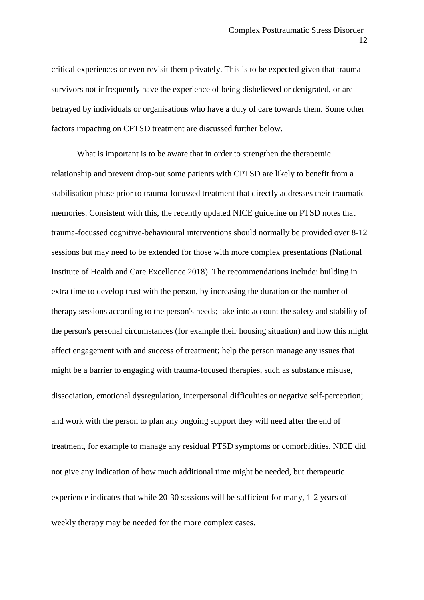critical experiences or even revisit them privately. This is to be expected given that trauma survivors not infrequently have the experience of being disbelieved or denigrated, or are betrayed by individuals or organisations who have a duty of care towards them. Some other factors impacting on CPTSD treatment are discussed further below.

What is important is to be aware that in order to strengthen the therapeutic relationship and prevent drop-out some patients with CPTSD are likely to benefit from a stabilisation phase prior to trauma-focussed treatment that directly addresses their traumatic memories. Consistent with this, the recently updated NICE guideline on PTSD notes that trauma-focussed cognitive-behavioural interventions should normally be provided over 8-12 sessions but may need to be extended for those with more complex presentations [\(National](#page-18-5)  [Institute of Health and Care Excellence 2018\)](#page-18-5). The recommendations include: building in extra time to develop trust with the person, by increasing the duration or the number of therapy sessions according to the person's needs; take into account the safety and stability of the person's personal circumstances (for example their housing situation) and how this might affect engagement with and success of treatment; help the person manage any issues that might be a barrier to engaging with trauma-focused therapies, such as substance misuse, dissociation, emotional dysregulation, interpersonal difficulties or negative self-perception; and work with the person to plan any ongoing support they will need after the end of treatment, for example to manage any residual PTSD symptoms or comorbidities. NICE did not give any indication of how much additional time might be needed, but therapeutic experience indicates that while 20-30 sessions will be sufficient for many, 1-2 years of weekly therapy may be needed for the more complex cases.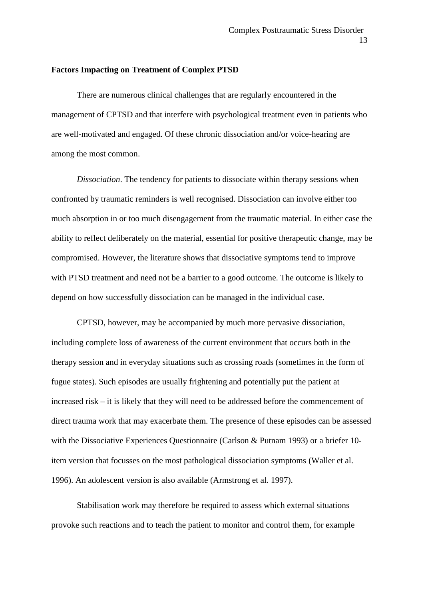# **Factors Impacting on Treatment of Complex PTSD**

There are numerous clinical challenges that are regularly encountered in the management of CPTSD and that interfere with psychological treatment even in patients who are well-motivated and engaged. Of these chronic dissociation and/or voice-hearing are among the most common.

*Dissociation*. The tendency for patients to dissociate within therapy sessions when confronted by traumatic reminders is well recognised. Dissociation can involve either too much absorption in or too much disengagement from the traumatic material. In either case the ability to reflect deliberately on the material, essential for positive therapeutic change, may be compromised. However, the literature shows that dissociative symptoms tend to improve with PTSD treatment and need not be a barrier to a good outcome. The outcome is likely to depend on how successfully dissociation can be managed in the individual case.

CPTSD, however, may be accompanied by much more pervasive dissociation, including complete loss of awareness of the current environment that occurs both in the therapy session and in everyday situations such as crossing roads (sometimes in the form of fugue states). Such episodes are usually frightening and potentially put the patient at increased risk – it is likely that they will need to be addressed before the commencement of direct trauma work that may exacerbate them. The presence of these episodes can be assessed with the Dissociative Experiences Questionnaire [\(Carlson & Putnam 1993\)](#page-16-7) or a briefer 10 item version that focusses on the most pathological dissociation symptoms [\(Waller et al.](#page-19-4)  [1996\)](#page-19-4). An adolescent version is also available [\(Armstrong et al. 1997\)](#page-15-4).

Stabilisation work may therefore be required to assess which external situations provoke such reactions and to teach the patient to monitor and control them, for example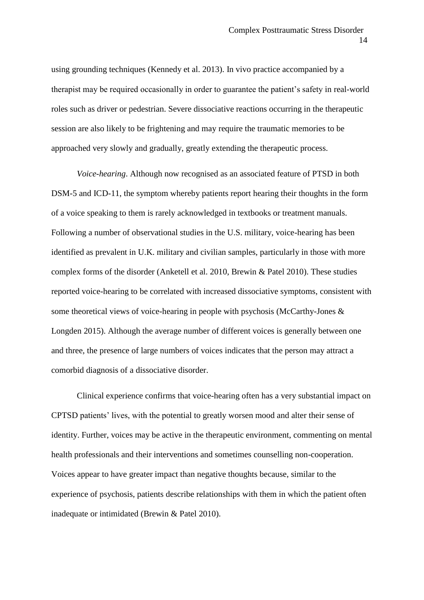using grounding techniques [\(Kennedy et al. 2013\)](#page-18-6). In vivo practice accompanied by a therapist may be required occasionally in order to guarantee the patient's safety in real-world roles such as driver or pedestrian. Severe dissociative reactions occurring in the therapeutic session are also likely to be frightening and may require the traumatic memories to be approached very slowly and gradually, greatly extending the therapeutic process.

*Voice-hearing*. Although now recognised as an associated feature of PTSD in both DSM-5 and ICD-11, the symptom whereby patients report hearing their thoughts in the form of a voice speaking to them is rarely acknowledged in textbooks or treatment manuals. Following a number of observational studies in the U.S. military, voice-hearing has been identified as prevalent in U.K. military and civilian samples, particularly in those with more complex forms of the disorder [\(Anketell et al. 2010,](#page-15-5) [Brewin & Patel 2010\)](#page-16-8). These studies reported voice-hearing to be correlated with increased dissociative symptoms, consistent with some theoretical views of voice-hearing in people with psychosis [\(McCarthy-Jones &](#page-18-7)  [Longden 2015\)](#page-18-7). Although the average number of different voices is generally between one and three, the presence of large numbers of voices indicates that the person may attract a comorbid diagnosis of a dissociative disorder.

Clinical experience confirms that voice-hearing often has a very substantial impact on CPTSD patients' lives, with the potential to greatly worsen mood and alter their sense of identity. Further, voices may be active in the therapeutic environment, commenting on mental health professionals and their interventions and sometimes counselling non-cooperation. Voices appear to have greater impact than negative thoughts because, similar to the experience of psychosis, patients describe relationships with them in which the patient often inadequate or intimidated [\(Brewin & Patel 2010\)](#page-16-8).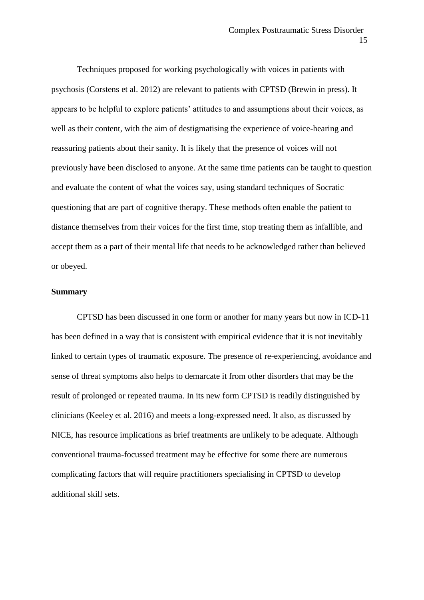Techniques proposed for working psychologically with voices in patients with psychosis [\(Corstens et al. 2012\)](#page-16-9) are relevant to patients with CPTSD [\(Brewin in press\)](#page-15-6). It appears to be helpful to explore patients' attitudes to and assumptions about their voices, as well as their content, with the aim of destigmatising the experience of voice-hearing and reassuring patients about their sanity. It is likely that the presence of voices will not previously have been disclosed to anyone. At the same time patients can be taught to question and evaluate the content of what the voices say, using standard techniques of Socratic questioning that are part of cognitive therapy. These methods often enable the patient to distance themselves from their voices for the first time, stop treating them as infallible, and accept them as a part of their mental life that needs to be acknowledged rather than believed or obeyed.

# **Summary**

CPTSD has been discussed in one form or another for many years but now in ICD-11 has been defined in a way that is consistent with empirical evidence that it is not inevitably linked to certain types of traumatic exposure. The presence of re-experiencing, avoidance and sense of threat symptoms also helps to demarcate it from other disorders that may be the result of prolonged or repeated trauma. In its new form CPTSD is readily distinguished by clinicians [\(Keeley et al. 2016\)](#page-18-8) and meets a long-expressed need. It also, as discussed by NICE, has resource implications as brief treatments are unlikely to be adequate. Although conventional trauma-focussed treatment may be effective for some there are numerous complicating factors that will require practitioners specialising in CPTSD to develop additional skill sets.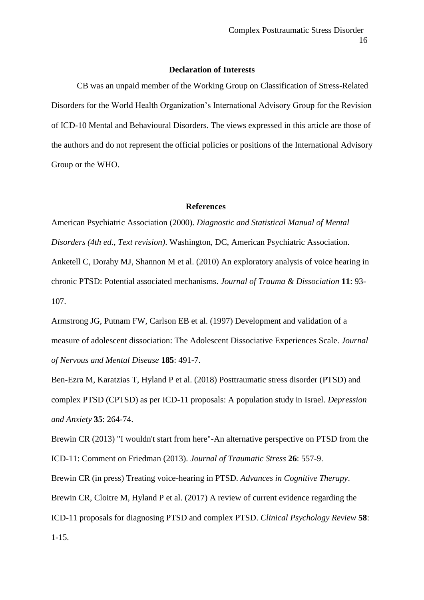#### **Declaration of Interests**

CB was an unpaid member of the Working Group on Classification of Stress-Related Disorders for the World Health Organization's International Advisory Group for the Revision of ICD-10 Mental and Behavioural Disorders. The views expressed in this article are those of the authors and do not represent the official policies or positions of the International Advisory Group or the WHO.

# **References**

<span id="page-15-5"></span><span id="page-15-2"></span>American Psychiatric Association (2000). *Diagnostic and Statistical Manual of Mental Disorders (4th ed., Text revision)*. Washington, DC, American Psychiatric Association. Anketell C, Dorahy MJ, Shannon M et al. (2010) An exploratory analysis of voice hearing in chronic PTSD: Potential associated mechanisms. *Journal of Trauma & Dissociation* **11**: 93- 107.

<span id="page-15-4"></span>Armstrong JG, Putnam FW, Carlson EB et al. (1997) Development and validation of a measure of adolescent dissociation: The Adolescent Dissociative Experiences Scale. *Journal of Nervous and Mental Disease* **185**: 491-7.

<span id="page-15-3"></span>Ben-Ezra M, Karatzias T, Hyland P et al. (2018) Posttraumatic stress disorder (PTSD) and complex PTSD (CPTSD) as per ICD-11 proposals: A population study in Israel. *Depression and Anxiety* **35**: 264-74.

<span id="page-15-0"></span>Brewin CR (2013) "I wouldn't start from here"-An alternative perspective on PTSD from the ICD-11: Comment on Friedman (2013). *Journal of Traumatic Stress* **26**: 557-9.

<span id="page-15-6"></span>Brewin CR (in press) Treating voice-hearing in PTSD. *Advances in Cognitive Therapy*.

<span id="page-15-1"></span>Brewin CR, Cloitre M, Hyland P et al. (2017) A review of current evidence regarding the

ICD-11 proposals for diagnosing PTSD and complex PTSD. *Clinical Psychology Review* **58**:

1-15.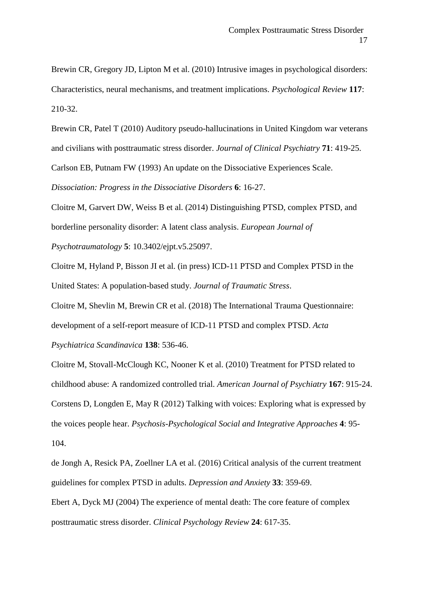<span id="page-16-5"></span>Brewin CR, Gregory JD, Lipton M et al. (2010) Intrusive images in psychological disorders: Characteristics, neural mechanisms, and treatment implications. *Psychological Review* **117**: 210-32.

<span id="page-16-8"></span>Brewin CR, Patel T (2010) Auditory pseudo-hallucinations in United Kingdom war veterans and civilians with posttraumatic stress disorder. *Journal of Clinical Psychiatry* **71**: 419-25. Carlson EB, Putnam FW (1993) An update on the Dissociative Experiences Scale.

<span id="page-16-7"></span>*Dissociation: Progress in the Dissociative Disorders* **6**: 16-27.

<span id="page-16-1"></span>Cloitre M, Garvert DW, Weiss B et al. (2014) Distinguishing PTSD, complex PTSD, and borderline personality disorder: A latent class analysis. *European Journal of Psychotraumatology* **5**: 10.3402/ejpt.v5.25097.

<span id="page-16-0"></span>Cloitre M, Hyland P, Bisson JI et al. (in press) ICD-11 PTSD and Complex PTSD in the United States: A population-based study. *Journal of Traumatic Stress*.

<span id="page-16-2"></span>Cloitre M, Shevlin M, Brewin CR et al. (2018) The International Trauma Questionnaire: development of a self-report measure of ICD-11 PTSD and complex PTSD. *Acta Psychiatrica Scandinavica* **138**: 536-46.

<span id="page-16-9"></span><span id="page-16-3"></span>Cloitre M, Stovall-McClough KC, Nooner K et al. (2010) Treatment for PTSD related to childhood abuse: A randomized controlled trial. *American Journal of Psychiatry* **167**: 915-24. Corstens D, Longden E, May R (2012) Talking with voices: Exploring what is expressed by the voices people hear. *Psychosis-Psychological Social and Integrative Approaches* **4**: 95- 104.

<span id="page-16-6"></span><span id="page-16-4"></span>de Jongh A, Resick PA, Zoellner LA et al. (2016) Critical analysis of the current treatment guidelines for complex PTSD in adults. *Depression and Anxiety* **33**: 359-69. Ebert A, Dyck MJ (2004) The experience of mental death: The core feature of complex posttraumatic stress disorder. *Clinical Psychology Review* **24**: 617-35.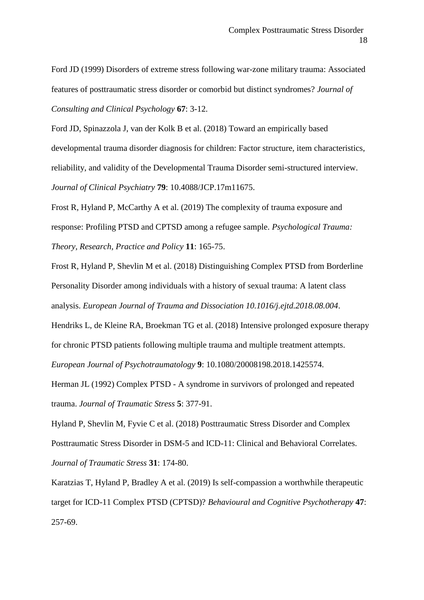<span id="page-17-2"></span>Ford JD (1999) Disorders of extreme stress following war-zone military trauma: Associated features of posttraumatic stress disorder or comorbid but distinct syndromes? *Journal of Consulting and Clinical Psychology* **67**: 3-12.

<span id="page-17-1"></span>Ford JD, Spinazzola J, van der Kolk B et al. (2018) Toward an empirically based developmental trauma disorder diagnosis for children: Factor structure, item characteristics, reliability, and validity of the Developmental Trauma Disorder semi-structured interview. *Journal of Clinical Psychiatry* **79**: 10.4088/JCP.17m11675.

<span id="page-17-3"></span>Frost R, Hyland P, McCarthy A et al. (2019) The complexity of trauma exposure and response: Profiling PTSD and CPTSD among a refugee sample. *Psychological Trauma: Theory, Research, Practice and Policy* **11**: 165-75.

<span id="page-17-5"></span>Frost R, Hyland P, Shevlin M et al. (2018) Distinguishing Complex PTSD from Borderline Personality Disorder among individuals with a history of sexual trauma: A latent class analysis. *European Journal of Trauma and Dissociation 10.1016/j.ejtd.2018.08.004*.

<span id="page-17-7"></span>Hendriks L, de Kleine RA, Broekman TG et al. (2018) Intensive prolonged exposure therapy for chronic PTSD patients following multiple trauma and multiple treatment attempts. *European Journal of Psychotraumatology* **9**: 10.1080/20008198.2018.1425574.

<span id="page-17-0"></span>Herman JL (1992) Complex PTSD - A syndrome in survivors of prolonged and repeated trauma. *Journal of Traumatic Stress* **5**: 377-91.

<span id="page-17-4"></span>Hyland P, Shevlin M, Fyvie C et al. (2018) Posttraumatic Stress Disorder and Complex Posttraumatic Stress Disorder in DSM-5 and ICD-11: Clinical and Behavioral Correlates. *Journal of Traumatic Stress* **31**: 174-80.

<span id="page-17-6"></span>Karatzias T, Hyland P, Bradley A et al. (2019) Is self-compassion a worthwhile therapeutic target for ICD-11 Complex PTSD (CPTSD)? *Behavioural and Cognitive Psychotherapy* **47**: 257-69.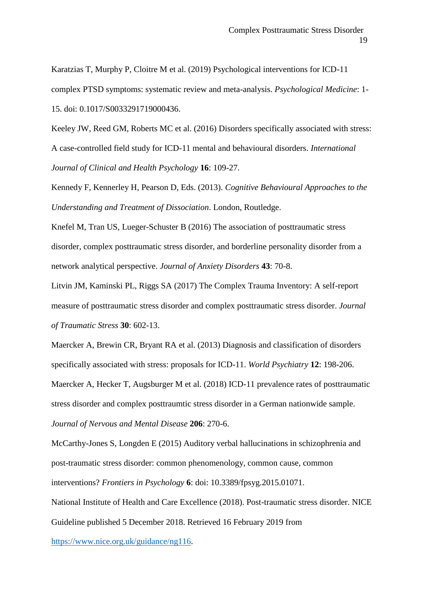<span id="page-18-4"></span>Karatzias T, Murphy P, Cloitre M et al. (2019) Psychological interventions for ICD-11 complex PTSD symptoms: systematic review and meta-analysis. *Psychological Medicine*: 1- 15. doi: 0.1017/S0033291719000436.

<span id="page-18-8"></span>Keeley JW, Reed GM, Roberts MC et al. (2016) Disorders specifically associated with stress: A case-controlled field study for ICD-11 mental and behavioural disorders. *International Journal of Clinical and Health Psychology* **16**: 109-27.

<span id="page-18-6"></span>Kennedy F, Kennerley H, Pearson D, Eds. (2013). *Cognitive Behavioural Approaches to the Understanding and Treatment of Dissociation*. London, Routledge.

<span id="page-18-2"></span>Knefel M, Tran US, Lueger-Schuster B (2016) The association of posttraumatic stress disorder, complex posttraumatic stress disorder, and borderline personality disorder from a network analytical perspective. *Journal of Anxiety Disorders* **43**: 70-8.

<span id="page-18-3"></span>Litvin JM, Kaminski PL, Riggs SA (2017) The Complex Trauma Inventory: A self-report measure of posttraumatic stress disorder and complex posttraumatic stress disorder. *Journal of Traumatic Stress* **30**: 602-13.

<span id="page-18-0"></span>Maercker A, Brewin CR, Bryant RA et al. (2013) Diagnosis and classification of disorders specifically associated with stress: proposals for ICD-11. *World Psychiatry* **12**: 198-206.

<span id="page-18-1"></span>Maercker A, Hecker T, Augsburger M et al. (2018) ICD-11 prevalence rates of posttraumatic stress disorder and complex posttraumtic stress disorder in a German nationwide sample. *Journal of Nervous and Mental Disease* **206**: 270-6.

<span id="page-18-7"></span>McCarthy-Jones S, Longden E (2015) Auditory verbal hallucinations in schizophrenia and post-traumatic stress disorder: common phenomenology, common cause, common interventions? *Frontiers in Psychology* **6**: doi: 10.3389/fpsyg.2015.01071.

<span id="page-18-5"></span>National Institute of Health and Care Excellence (2018). Post-traumatic stress disorder. NICE

Guideline published 5 December 2018. Retrieved 16 February 2019 from

[https://www.nice.org.uk/guidance/ng116.](https://www.nice.org.uk/guidance/ng116)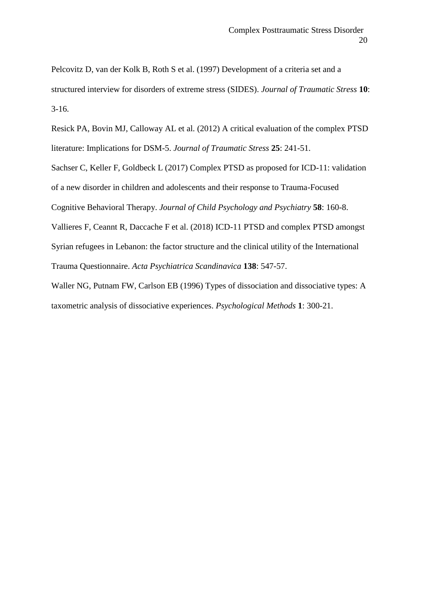<span id="page-19-0"></span>Pelcovitz D, van der Kolk B, Roth S et al. (1997) Development of a criteria set and a structured interview for disorders of extreme stress (SIDES). *Journal of Traumatic Stress* **10**: 3-16.

<span id="page-19-1"></span>Resick PA, Bovin MJ, Calloway AL et al. (2012) A critical evaluation of the complex PTSD literature: Implications for DSM-5. *Journal of Traumatic Stress* **25**: 241-51.

<span id="page-19-3"></span>Sachser C, Keller F, Goldbeck L (2017) Complex PTSD as proposed for ICD-11: validation of a new disorder in children and adolescents and their response to Trauma-Focused Cognitive Behavioral Therapy. *Journal of Child Psychology and Psychiatry* **58**: 160-8. Vallieres F, Ceannt R, Daccache F et al. (2018) ICD-11 PTSD and complex PTSD amongst Syrian refugees in Lebanon: the factor structure and the clinical utility of the International Trauma Questionnaire. *Acta Psychiatrica Scandinavica* **138**: 547-57.

<span id="page-19-4"></span><span id="page-19-2"></span>Waller NG, Putnam FW, Carlson EB (1996) Types of dissociation and dissociative types: A taxometric analysis of dissociative experiences. *Psychological Methods* **1**: 300-21.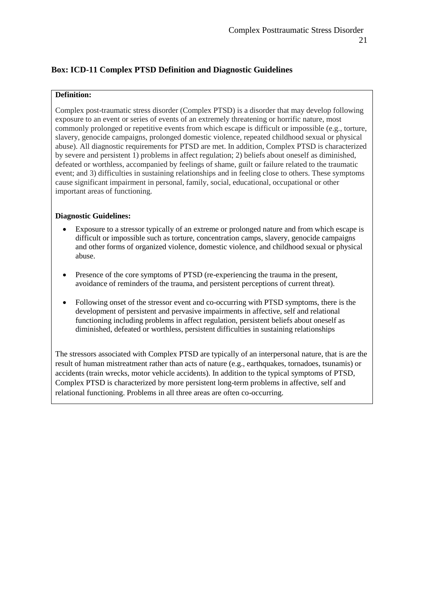# **Box: ICD-11 Complex PTSD Definition and Diagnostic Guidelines**

# **Definition:**

Complex post-traumatic stress disorder (Complex PTSD) is a disorder that may develop following exposure to an event or series of events of an extremely threatening or horrific nature, most commonly prolonged or repetitive events from which escape is difficult or impossible (e.g., torture, slavery, genocide campaigns, prolonged domestic violence, repeated childhood sexual or physical abuse). All diagnostic requirements for PTSD are met. In addition, Complex PTSD is characterized by severe and persistent 1) problems in affect regulation; 2) beliefs about oneself as diminished, defeated or worthless, accompanied by feelings of shame, guilt or failure related to the traumatic event; and 3) difficulties in sustaining relationships and in feeling close to others. These symptoms cause significant impairment in personal, family, social, educational, occupational or other important areas of functioning.

# **Diagnostic Guidelines:**

- Exposure to a stressor typically of an extreme or prolonged nature and from which escape is difficult or impossible such as torture, concentration camps, slavery, genocide campaigns and other forms of organized violence, domestic violence, and childhood sexual or physical abuse.
- Presence of the core symptoms of PTSD (re-experiencing the trauma in the present, avoidance of reminders of the trauma, and persistent perceptions of current threat).
- Following onset of the stressor event and co-occurring with PTSD symptoms, there is the development of persistent and pervasive impairments in affective, self and relational functioning including problems in affect regulation, persistent beliefs about oneself as diminished, defeated or worthless, persistent difficulties in sustaining relationships

The stressors associated with Complex PTSD are typically of an interpersonal nature, that is are the result of human mistreatment rather than acts of nature (e.g., earthquakes, tornadoes, tsunamis) or accidents (train wrecks, motor vehicle accidents). In addition to the typical symptoms of PTSD, Complex PTSD is characterized by more persistent long-term problems in affective, self and relational functioning. Problems in all three areas are often co-occurring.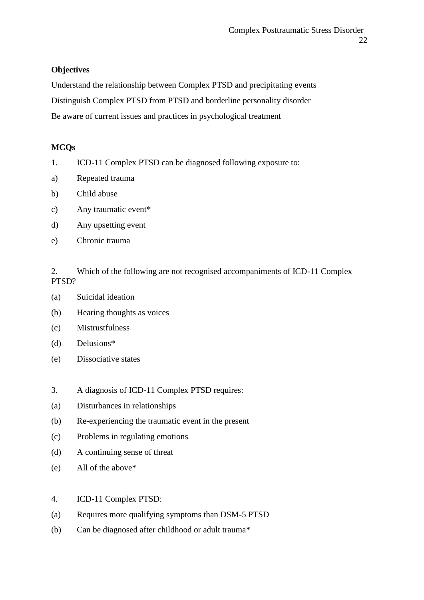# **Objectives**

Understand the relationship between Complex PTSD and precipitating events Distinguish Complex PTSD from PTSD and borderline personality disorder Be aware of current issues and practices in psychological treatment

# **MCQs**

- 1. ICD-11 Complex PTSD can be diagnosed following exposure to:
- a) Repeated trauma
- b) Child abuse
- c) Any traumatic event\*
- d) Any upsetting event
- e) Chronic trauma

2. Which of the following are not recognised accompaniments of ICD-11 Complex PTSD?

- (a) Suicidal ideation
- (b) Hearing thoughts as voices
- (c) Mistrustfulness
- (d) Delusions\*
- (e) Dissociative states
- 3. A diagnosis of ICD-11 Complex PTSD requires:
- (a) Disturbances in relationships
- (b) Re-experiencing the traumatic event in the present
- (c) Problems in regulating emotions
- (d) A continuing sense of threat
- (e) All of the above\*
- 4. ICD-11 Complex PTSD:
- (a) Requires more qualifying symptoms than DSM-5 PTSD
- (b) Can be diagnosed after childhood or adult trauma\*